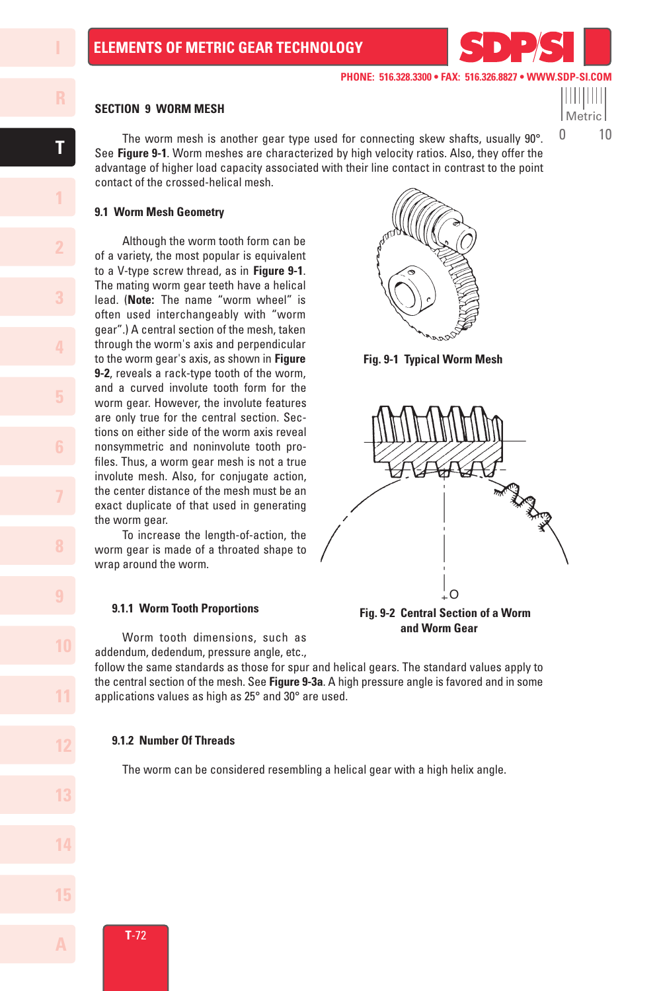Metric 0 10

#### **SECTION 9 WORM MESH**

 The worm mesh is another gear type used for connecting skew shafts, usually 90°. See **Figure 9-1**. Worm meshes are characterized by high velocity ratios. Also, they offer the advantage of higher load capacity associated with their line contact in contrast to the point contact of the crossed-helical mesh.

#### **9.1 Worm Mesh Geometry**

 Although the worm tooth form can be of a variety, the most popular is equivalent to a V-type screw thread, as in **Figure 9-1**. The mating worm gear teeth have a helical lead. (**Note:** The name "worm wheel" is often used interchangeably with "worm gear".) A central section of the mesh, taken through the worm's axis and perpendicular to the worm gear's axis, as shown in **Figure 9-2**, reveals a rack-type tooth of the worm, and a curved involute tooth form for the worm gear. However, the involute features are only true for the central section. Sections on either side of the worm axis reveal nonsymmetric and noninvolute tooth profiles. Thus, a worm gear mesh is not a true involute mesh. Also, for conjugate action, the center distance of the mesh must be an exact duplicate of that used in generating the worm gear.

 To increase the length-of-action, the worm gear is made of a throated shape to wrap around the worm.

#### **9.1.1 Worm Tooth Proportions**

 Worm tooth dimensions, such as addendum, dedendum, pressure angle, etc.,

follow the same standards as those for spur and helical gears. The standard values apply to the central section of the mesh. See **Figure 9-3a**. A high pressure angle is favored and in some applications values as high as 25° and 30° are used.

### **9.1.2 Number Of Threads**

The worm can be considered resembling a helical gear with a high helix angle.



**Fig. 9-1 Typical Worm Mesh**



 **and Worm Gear**

**1**

**T**

**7**

**10**

**11**

**12**

**13**

**14**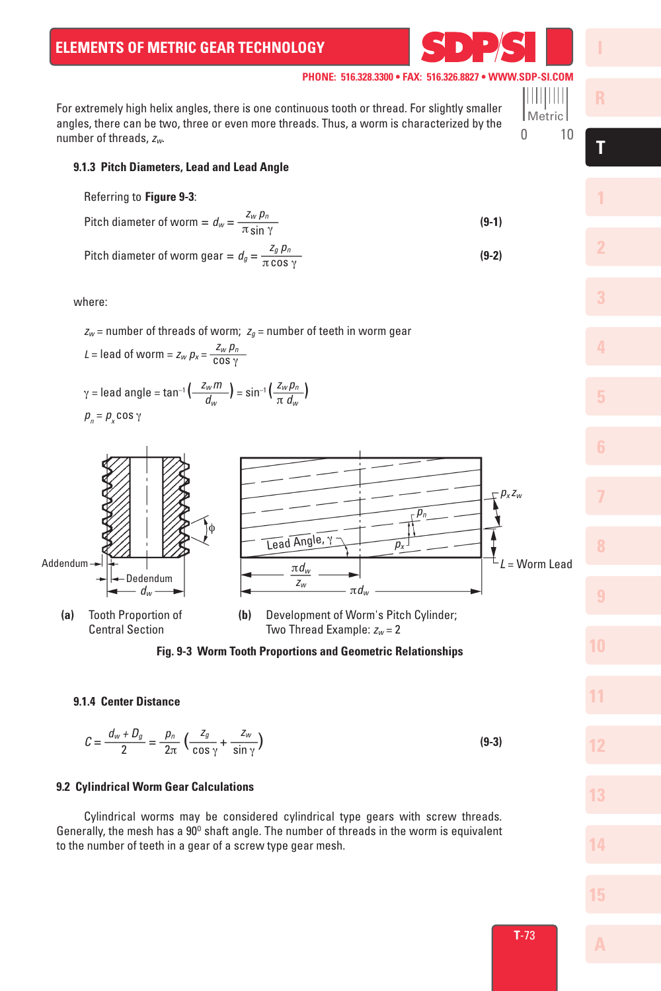For extremely high helix angles, there is one continuous tooth or thread. For slightly smaller angles, there can be two, three or even more threads. Thus, a worm is characterized by the number of threads, *zw*. 0 10

## **9.1.3 Pitch Diameters, Lead and Lead Angle**

#### Referring to **Figure 9-3**:

Pitch diameter of worm = 
$$
d_w = \frac{Z_w p_n}{\pi \sin \gamma}
$$
 (9-1)

Pitch diameter of worm gear = 
$$
d_g = \frac{Z_g p_n}{\pi \cos \gamma}
$$
 (9-2)

where:

 $z_w$  = number of threads of worm;  $z_g$  = number of teeth in worm gear

$$
L = \text{lead of worm} = z_w p_x = \frac{z_w p_n}{\cos \gamma}
$$
\n
$$
\gamma = \text{lead angle} = \tan^{-1} \left( \frac{z_w p_n}{d_w} \right) = \sin^{-1} \left( \frac{z_w p_n}{\pi \, d_w} \right)
$$
\n
$$
p_n = p_x \cos \gamma
$$

Addendum Dedendum *dw* π*dw* <sup>π</sup>*dw* ––– *zw px zw L* = Worm Lead Lead Angle, <sup>γ</sup> *pn px* φ **(a)** Tooth Proportion of Central Section **(b)** Development of Worm's Pitch Cylinder; Two Thread Example: *zw* = 2

#### **Fig. 9-3 Worm Tooth Proportions and Geometric Relationships**

## **9.1.4 Center Distance**

$$
C = \frac{d_w + D_g}{2} = \frac{p_n}{2\pi} \left( \frac{z_g}{\cos \gamma} + \frac{z_w}{\sin \gamma} \right)
$$
(9-3)

### **9.2 Cylindrical Worm Gear Calculations**

 Cylindrical worms may be considered cylindrical type gears with screw threads. Generally, the mesh has a  $90^{\circ}$  shaft angle. The number of threads in the worm is equivalent to the number of teeth in a gear of a screw type gear mesh.

**7**

**10**

**11**

**12**

**13**

**14**

**15**

**1**

**T**

Metric

l III III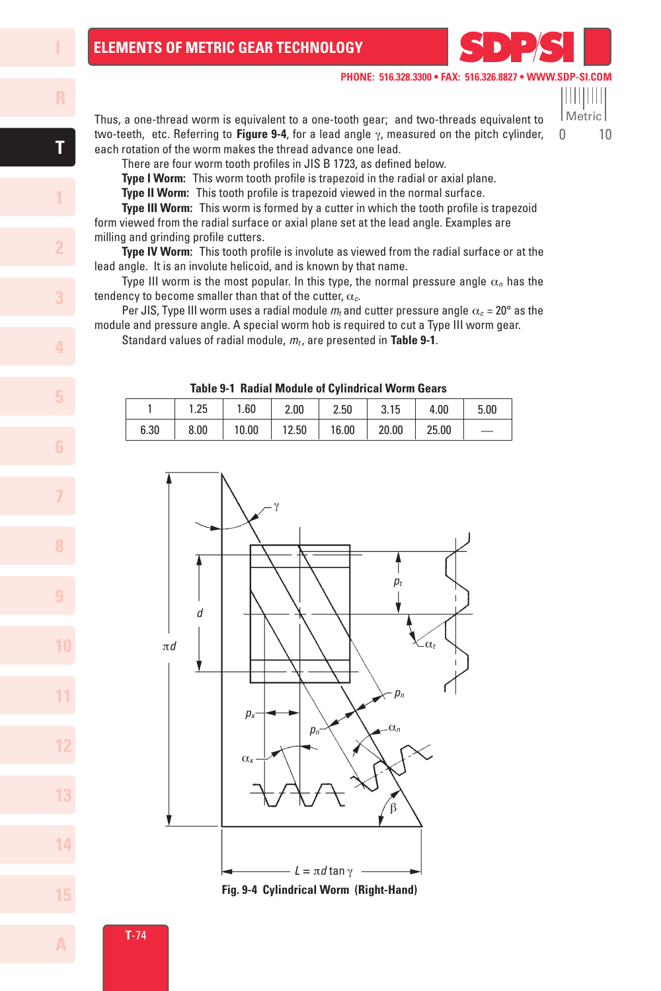Metric 0 10

11 | 11 | 11 | 1

Thus, a one-thread worm is equivalent to a one-tooth gear; and two-threads equivalent to two-teeth, etc. Referring to **Figure 9-4**, for a lead angle γ, measured on the pitch cylinder, each rotation of the worm makes the thread advance one lead.

There are four worm tooth profiles in JIS B 1723, as defined below.

 **Type I Worm:** This worm tooth profile is trapezoid in the radial or axial plane.

 **Type II Worm:** This tooth profile is trapezoid viewed in the normal surface.

 **Type III Worm:** This worm is formed by a cutter in which the tooth profile is trapezoid form viewed from the radial surface or axial plane set at the lead angle. Examples are milling and grinding profile cutters.

 **Type IV Worm:** This tooth profile is involute as viewed from the radial surface or at the lead angle. It is an involute helicoid, and is known by that name.

Type III worm is the most popular. In this type, the normal pressure angle  $\alpha_n$  has the tendency to become smaller than that of the cutter, α*c*.

Per JIS, Type III worm uses a radial module  $m_t$  and cutter pressure angle  $\alpha_c = 20^\circ$  as the module and pressure angle. A special worm hob is required to cut a Type III worm gear.

Standard values of radial module, *mt* , are presented in **Table 9-1**.

| <b>Table 9-1 Radial Module of Cylindrical Worm Gears</b> |      |       |       |       |       |       |      |
|----------------------------------------------------------|------|-------|-------|-------|-------|-------|------|
|                                                          | 1.25 | 1.60  | 2.00  | 2.50  | 3.15  | 4.00  | 5.00 |
| 6.30                                                     | 8.00 | 10.00 | 12.50 | 16.00 | 20.00 | 25.00 |      |



**T**-74

**1**

**7**

**10**

**11**

**12**

**13**

**14**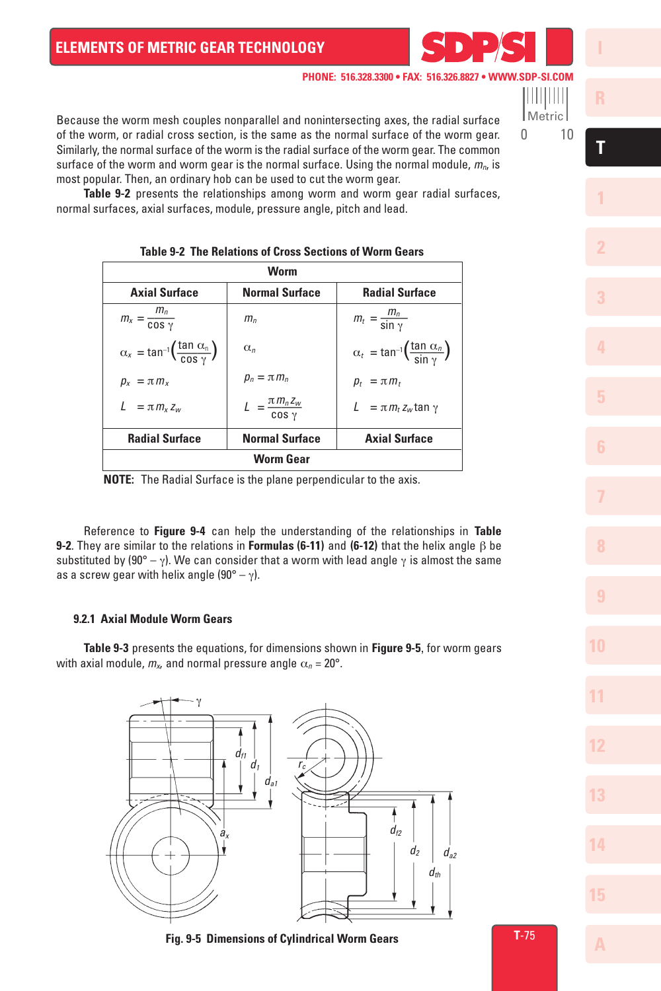

Metric



**1**

**T**

**7**

**10**

**11**

**12**

**13**

**14**

**15**

of the worm, or radial cross section, is the same as the normal surface of the worm gear. Similarly, the normal surface of the worm is the radial surface of the worm gear. The common surface of the worm and worm gear is the normal surface. Using the normal module,  $m_{\alpha}$  is most popular. Then, an ordinary hob can be used to cut the worm gear.

Because the worm mesh couples nonparallel and nonintersecting axes, the radial surface

 **Table 9-2** presents the relationships among worm and worm gear radial surfaces, normal surfaces, axial surfaces, module, pressure angle, pitch and lead.

| Worm                                                                    |                                       |                                                                         |  |  |  |  |
|-------------------------------------------------------------------------|---------------------------------------|-------------------------------------------------------------------------|--|--|--|--|
| <b>Axial Surface</b><br><b>Normal Surface</b><br><b>Radial Surface</b>  |                                       |                                                                         |  |  |  |  |
| $m_x = \frac{m_n}{\cos \gamma}$                                         | $m_{\scriptscriptstyle n}$            | $m_t = \frac{m_n}{\sin \gamma}$                                         |  |  |  |  |
| $\alpha_x = \tan^{-1} \left( \frac{\tan \alpha_0}{\cos \gamma} \right)$ | $\alpha_n$                            | $\alpha_t = \tan^{-1} \left( \frac{\tan \alpha_n}{\sin \alpha} \right)$ |  |  |  |  |
| $p_x = \pi m_x$                                                         | $p_n = \pi m_n$                       | $p_t = \pi m_t$                                                         |  |  |  |  |
| $L = \pi m_x z_w$                                                       | $L = \frac{\pi m_n z_w}{\cos \gamma}$ | $L = \pi m_t z_w \tan \gamma$                                           |  |  |  |  |
| <b>Radial Surface</b>                                                   | <b>Normal Surface</b>                 | <b>Axial Surface</b>                                                    |  |  |  |  |
| Worm Gear                                                               |                                       |                                                                         |  |  |  |  |

# **Table 9-2 The Relations of Cross Sections of Worm Gears**

**NOTE:** The Radial Surface is the plane perpendicular to the axis.

 Reference to **Figure 9-4** can help the understanding of the relationships in **Table 9-2**. They are similar to the relations in **Formulas (6-11)** and **(6-12)** that the helix angle β be substituted by (90° – γ). We can consider that a worm with lead angle  $\gamma$  is almost the same as a screw gear with helix angle  $(90^{\circ} - \gamma)$ .

## **9.2.1 Axial Module Worm Gears**

 **Table 9-3** presents the equations, for dimensions shown in **Figure 9-5**, for worm gears with axial module,  $m_x$ , and normal pressure angle  $\alpha_n = 20^\circ$ .



**Fig. 9-5 Dimensions of Cylindrical Worm Gears**

**T**-75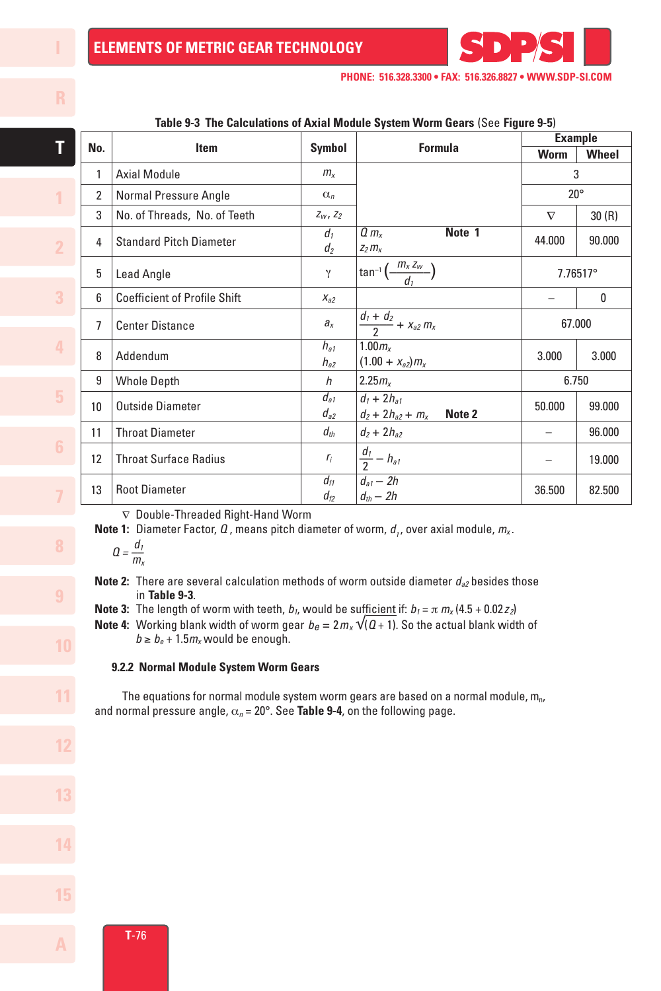

|  | Table 9-3 The Calculations of Axial Module System Worm Gears (See Figure 9-5) |                                     |                                  |                                                         |                |          |  |  |
|--|-------------------------------------------------------------------------------|-------------------------------------|----------------------------------|---------------------------------------------------------|----------------|----------|--|--|
|  |                                                                               |                                     |                                  |                                                         | <b>Example</b> |          |  |  |
|  | No.                                                                           | Item                                | <b>Symbol</b>                    | <b>Formula</b>                                          | Worm           | Wheel    |  |  |
|  | 1                                                                             | <b>Axial Module</b>                 | $m_{x}$                          |                                                         | 3              |          |  |  |
|  | $\overline{2}$                                                                | Normal Pressure Angle               | $\alpha_n$                       |                                                         | $20^{\circ}$   |          |  |  |
|  | 3                                                                             | No. of Threads, No. of Teeth        | $Z_W$ , $Z_2$                    |                                                         | $\nabla$       | 30(R)    |  |  |
|  | 4                                                                             | <b>Standard Pitch Diameter</b>      | d <sub>1</sub><br>d <sub>2</sub> | Note 1<br>$Q/m_{x}$<br>$Z_2 m_X$                        | 44.000         | 90.000   |  |  |
|  | 5                                                                             | Lead Angle                          | $\gamma$                         | $\tan^{-1}\left(\frac{m_x z_w}{d}\right)$               |                | 7.76517° |  |  |
|  | 6                                                                             | <b>Coefficient of Profile Shift</b> | $X_{a2}$                         |                                                         |                | 0        |  |  |
|  | 7                                                                             | <b>Center Distance</b>              | $a_{x}$                          | $\frac{d_1 + d_2}{2} + x_{a2} m_x$                      | 67.000         |          |  |  |
|  | 8                                                                             | Addendum                            | $h_{a1}$<br>$h_{a2}$             | 1.00m <sub>x</sub><br>$(1.00 + x_{a2})m_x$              | 3.000          | 3.000    |  |  |
|  | 9                                                                             | <b>Whole Depth</b>                  | h                                | 2.25m <sub>x</sub>                                      | 6.750          |          |  |  |
|  | 10                                                                            | <b>Outside Diameter</b>             | $d_{a1}$<br>$d_{a2}$             | $d_1 + 2h_{a1}$<br>Note 2<br>$d_2$ + 2 $h_{a2}$ + $m_x$ | 50.000         | 99.000   |  |  |
|  | 11                                                                            | <b>Throat Diameter</b>              | $d_{th}$                         | $d_2 + 2h_{a2}$                                         |                | 96.000   |  |  |
|  | 12                                                                            | <b>Throat Surface Radius</b>        | $r_i$                            | $rac{d_1}{2} - h_{a1}$                                  |                | 19.000   |  |  |
|  | 13                                                                            | <b>Root Diameter</b>                | $d_{f1}$<br>$d_{f2}$             | $\overline{d_{a1}-2h}$<br>$d_{th} - 2h$                 | 36.500         | 82.500   |  |  |

∇ Double-Threaded Right-Hand Worm

**Note 1:** Diameter Factor,  $Q$ , means pitch diameter of worm,  $d_1$ , over axial module,  $m_x$ .

$$
Q=\frac{d_1}{m_x}
$$

**Note 2:** There are several calculation methods of worm outside diameter  $d_{a2}$  besides those in **Table 9-3**.

**Note 3:** The length of worm with teeth,  $b_1$ , would be sufficient if:  $b_1 = \pi m_x (4.5 + 0.02z_2)$ 

**Note 4:** Working blank width of worm gear  $b_e = 2m_x \sqrt{(a+1)}$ . So the actual blank width of  $b \ge b_e + 1.5m_x$  would be enough.

#### **9.2.2 Normal Module System Worm Gears**

The equations for normal module system worm gears are based on a normal module,  $m_{n}$ , and normal pressure angle, α*n* = 20°. See **Table 9-4**, on the following page.



**T**

**1**

**7**

**11**

**12**

**13**

**14**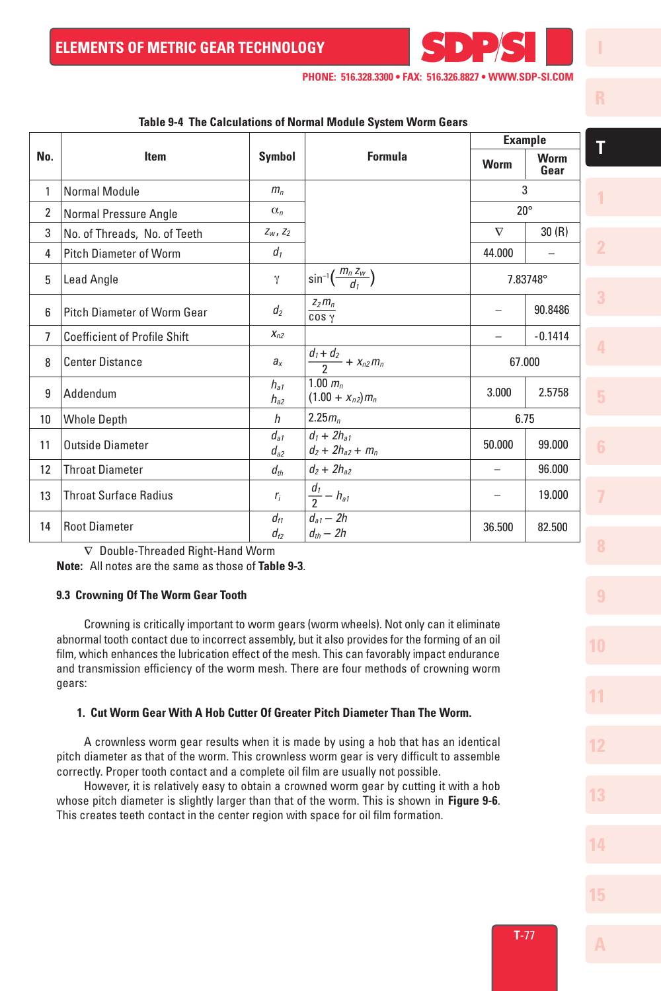

|                 | Taple 3-4 The Calculations of Normal Module System World Gears<br><b>Example</b> |                      |                                                              |                          |                     |  |  |
|-----------------|----------------------------------------------------------------------------------|----------------------|--------------------------------------------------------------|--------------------------|---------------------|--|--|
| No.             | <b>Item</b>                                                                      | Symbol               | <b>Formula</b>                                               | Worm                     | <b>Worm</b><br>Gear |  |  |
| 1               | <b>Normal Module</b>                                                             | m <sub>n</sub>       |                                                              |                          | 3                   |  |  |
| $\overline{2}$  | Normal Pressure Angle                                                            | $\alpha_n$           |                                                              |                          | $20^{\circ}$        |  |  |
| 3               | No. of Threads, No. of Teeth                                                     | $Z_W$ , $Z_2$        |                                                              | $\nabla$                 | 30(R)               |  |  |
| 4               | <b>Pitch Diameter of Worm</b>                                                    | $d_1$                |                                                              | 44.000                   |                     |  |  |
| 5               | <b>Lead Angle</b>                                                                | γ                    | $\sin^{-1}\left(\frac{m_n z_w}{d_n}\right)$                  |                          | 7.83748°            |  |  |
| 6               | Pitch Diameter of Worm Gear                                                      | $d_2$                | $Z_2 m_n$<br>COS <sub>Y</sub>                                |                          | 90.8486             |  |  |
| 7               | <b>Coefficient of Profile Shift</b>                                              | $X_{n2}$             |                                                              |                          | $-0.1414$           |  |  |
| 8               | <b>Center Distance</b>                                                           | $a_{x}$              | $\frac{d_1+d_2}{2} + x_{n2} m_n$                             | 67.000                   |                     |  |  |
| 9               | Addendum                                                                         | $h_{a1}$<br>$h_{a2}$ | 1.00 $m_n$<br>$(1.00 + x_{n2})m_n$                           | 3.000                    | 2.5758              |  |  |
| 10 <sup>°</sup> | <b>Whole Depth</b>                                                               | h                    | 2.25m <sub>n</sub>                                           | 6.75                     |                     |  |  |
| 11              | <b>Outside Diameter</b>                                                          | $d_{a1}$<br>$d_{a2}$ | $d_1 + 2h_{a1}$<br>$d_2$ + 2h <sub>a2</sub> + m <sub>n</sub> | 50.000                   | 99.000              |  |  |
| 12              | <b>Throat Diameter</b>                                                           | $d_{th}$             | $d_2 + 2h_{a2}$                                              | $\overline{\phantom{0}}$ | 96.000              |  |  |
| 13              | <b>Throat Surface Radius</b>                                                     | $r_i$                | $rac{d_1}{2}-h_{a1}$                                         |                          | 19.000              |  |  |
| 14              | <b>Root Diameter</b>                                                             | $d_{f1}$<br>$d_{f2}$ | $d_{a1}$ – 2h<br>$d_{th}$ – 2h                               | 36.500                   | 82.500              |  |  |

**Table 9-4 The Calculations of Normal Module System Worm Gears**

∇ Double-Threaded Right-Hand Worm

**Note:** All notes are the same as those of **Table 9-3**.

#### **9.3 Crowning Of The Worm Gear Tooth**

 Crowning is critically important to worm gears (worm wheels). Not only can it eliminate abnormal tooth contact due to incorrect assembly, but it also provides for the forming of an oil film, which enhances the lubrication effect of the mesh. This can favorably impact endurance and transmission efficiency of the worm mesh. There are four methods of crowning worm gears:

### **1. Cut Worm Gear With A Hob Cutter Of Greater Pitch Diameter Than The Worm.**

 A crownless worm gear results when it is made by using a hob that has an identical pitch diameter as that of the worm. This crownless worm gear is very difficult to assemble correctly. Proper tooth contact and a complete oil film are usually not possible.

 However, it is relatively easy to obtain a crowned worm gear by cutting it with a hob whose pitch diameter is slightly larger than that of the worm. This is shown in **Figure 9-6**. This creates teeth contact in the center region with space for oil film formation.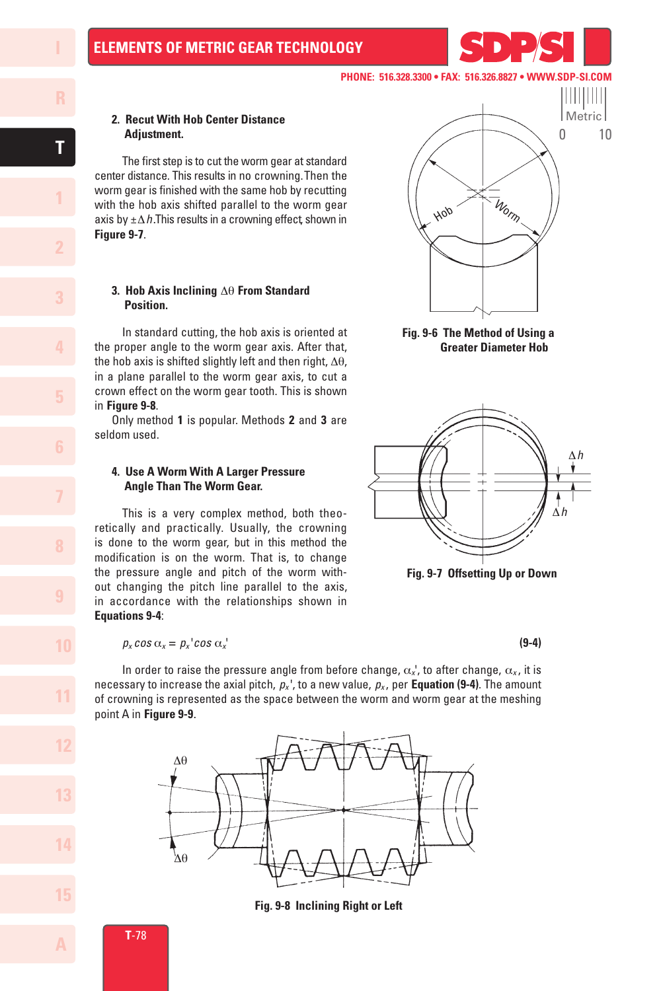## **2. Recut With Hob Center Distance Adjustment.**

 The first step is to cut the worm gear at standard center distance. This results in no crowning. Then the worm gear is finished with the same hob by recutting with the hob axis shifted parallel to the worm gear axis by ±∆*h*. This results in a crowning effect , shown in **Figure 9-7**.

#### **3. Hob Axis Inclining** ∆θ **From Standard Position.**

 In standard cutting, the hob axis is oriented at the proper angle to the worm gear axis. After that, the hob axis is shifted slightly left and then right, ∆θ, in a plane parallel to the worm gear axis, to cut a crown effect on the worm gear tooth. This is shown in **Figure 9-8**.

Only method **1** is popular. Methods **2** and **3** are seldom used.

## **4. Use A Worm With A Larger Pressure Angle Than The Worm Gear.**

 This is a very complex method, both theoretically and practically. Usually, the crowning is done to the worm gear, but in this method the modification is on the worm. That is, to change the pressure angle and pitch of the worm without changing the pitch line parallel to the axis, in accordance with the relationships shown in **Equations 9-4**:

$$
p_x \cos \alpha_x = p_x^{-1} \cos \alpha_x^{-1}
$$
 (9-4)



**PHONE: 516.328.3300 • FAX: 516.326.8827 • WWW.SDP** 





**Fig. 9-7 Offsetting Up or Down** 

In order to raise the pressure angle from before change,  $\alpha_x$ ', to after change,  $\alpha_x$ , it is necessary to increase the axial pitch,  $p_x$ <sup>'</sup>, to a new value,  $p_x$ , per **Equation (9-4)**. The amount of crowning is represented as the space between the worm and worm gear at the meshing point A in **Figure 9-9**.

**Fig. 9-8 Inclining Right or Left**



**1**

**7**

**10**

**11**

**12**

**13**

**14**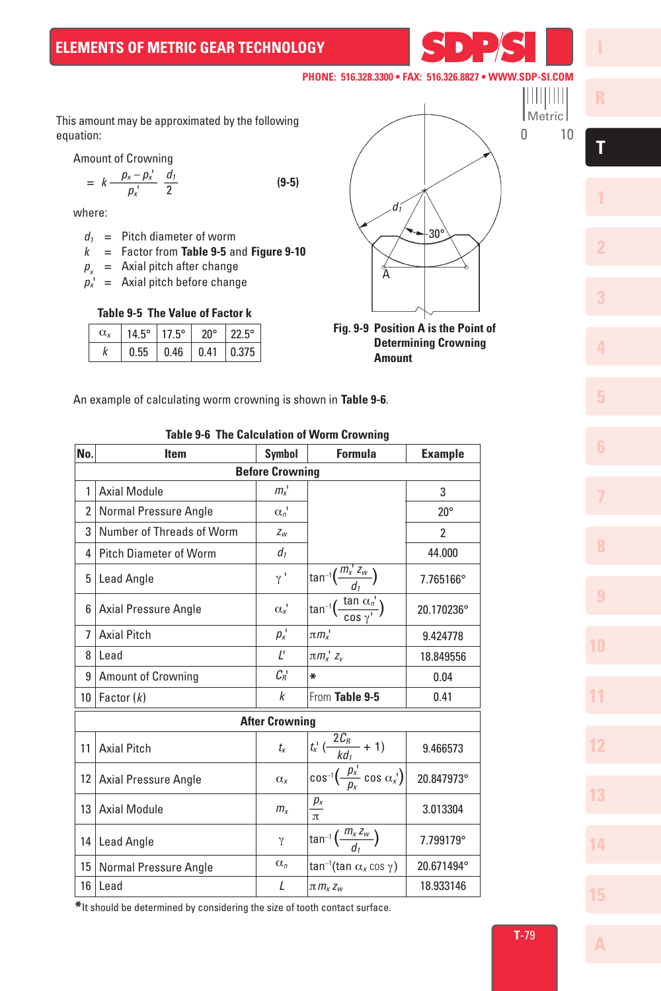This amount may be approximated by the following equation:

Amount of Crowning

$$
= k \frac{p_x - p_x'}{p_x'} \frac{d_1}{2}
$$
 (9-5)

where:

- $d_1$  = Pitch diameter of worm
- *k* = Factor from **Table 9-5** and **Figure 9-10**

 $p_{y}$  = Axial pitch after change

 $p_x$ <sup>'</sup> = Axial pitch before change

# **Table 9-5 The Value of Factor k**

| α. | $14.5^\circ$ | $17.5^\circ$                        | $20^{\circ}$ | $122.5^\circ$ |
|----|--------------|-------------------------------------|--------------|---------------|
|    | 0.55         | $\vert 0.46 \vert 0.41 \vert 0.375$ |              |               |



 **Determining Crowning Amount**

An example of calculating worm crowning is shown in **Table 9-6**.

# **Table 9-6 The Calculation of Worm Crowning**

| No.                    | <b>Item</b>                   | <b>Symbol</b>    | <b>Formula</b>                                                                | <b>Example</b> |  |  |  |
|------------------------|-------------------------------|------------------|-------------------------------------------------------------------------------|----------------|--|--|--|
| <b>Before Crowning</b> |                               |                  |                                                                               |                |  |  |  |
| 1                      | <b>Axial Module</b>           | $m_{x}$          |                                                                               | 3              |  |  |  |
| 2                      | Normal Pressure Angle         | $\alpha_n$ '     |                                                                               | $20^{\circ}$   |  |  |  |
| 3                      | Number of Threads of Worm     | $Z_W$            |                                                                               | 2              |  |  |  |
| 4                      | <b>Pitch Diameter of Worm</b> | $d_{1}$          |                                                                               | 44.000         |  |  |  |
| 5                      | Lead Angle                    | γ'               | $\tan^{-1}\left(\frac{m_x^2}{d_1}\right)$                                     | 7.765166°      |  |  |  |
| 6                      | Axial Pressure Angle          | $\alpha_{x}$     | $\sqrt{\tan^{-1} \left( \frac{\tan \alpha_n}{\cos \gamma} \right)}$           | 20.170236°     |  |  |  |
| $\overline{7}$         | <b>Axial Pitch</b>            | $p_x$            | $\pi m_x$ '                                                                   | 9.424778       |  |  |  |
| 8                      | Lead                          | $\mathcal{L}$    | $\pi m_x$ ' $z_v$                                                             | 18.849556      |  |  |  |
| 9                      | <b>Amount of Crowning</b>     | $C_{R}$          | ∗                                                                             | 0.04           |  |  |  |
| 10                     | Factor $(k)$                  | $\boldsymbol{k}$ | From Table 9-5                                                                | 0.41           |  |  |  |
|                        | <b>After Crowning</b>         |                  |                                                                               |                |  |  |  |
| 11                     | <b>Axial Pitch</b>            | $t_{x}$          | $\frac{t_x^1(\frac{2C_B}{kd_1}+1)}{\cos^{-1}(\frac{p_x^1}{p_x}\cos\alpha_x)}$ | 9.466573       |  |  |  |
| 12                     | <b>Axial Pressure Angle</b>   | $\alpha_{x}$     |                                                                               | 20.847973°     |  |  |  |
| 13                     | <b>Axial Module</b>           | $m_{x}$          | $\frac{p_x}{\pi}$                                                             | 3.013304       |  |  |  |
| 14                     | Lead Angle                    | γ                | $\tan^{-1}\left(\frac{m_x z_w}{d_x}\right)$                                   | 7.799179°      |  |  |  |
| 15                     | Normal Pressure Angle         | $\alpha_n$       | tan <sup>-1</sup> (tan $\alpha_x$ cos $\gamma$ )                              | 20.671494°     |  |  |  |
| 16                     | Lead                          | L                | $\pi m_x Z_w$                                                                 | 18.933146      |  |  |  |

**\***It should be determined by considering the size of tooth contact surface.